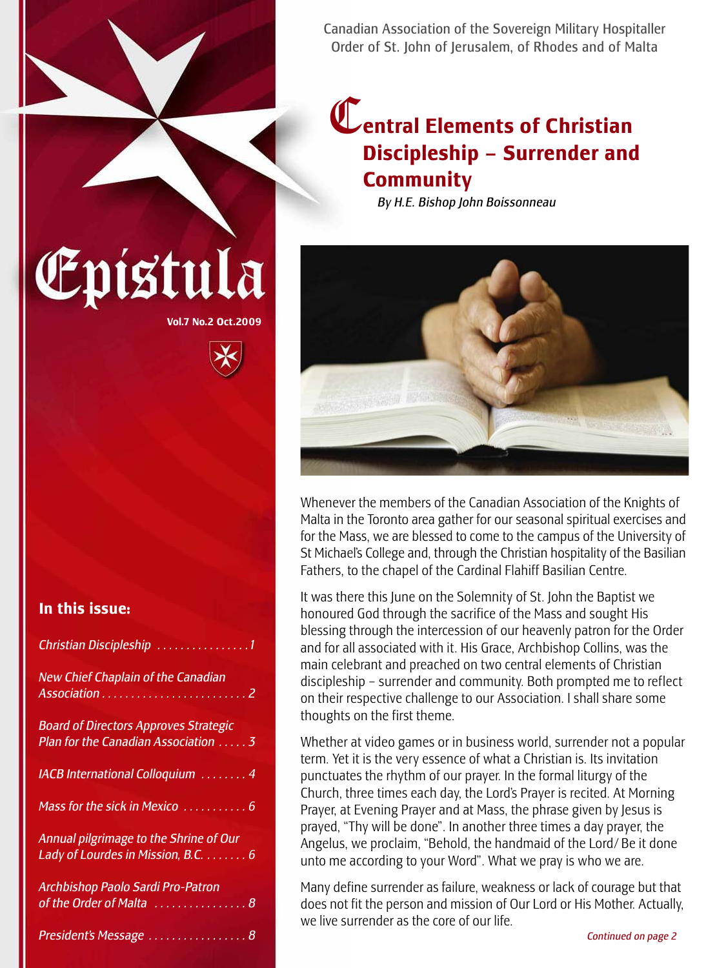Canadian Association of the Sovereign Military Hospitaller Order of St. John of Jerusalem, of Rhodes and of Malta

## C**entral Elements of Christian Discipleship – Surrender and Community**

*By H.E. Bishop John Boissonneau*



Whenever the members of the Canadian Association of the Knights of Malta in the Toronto area gather for our seasonal spiritual exercises and for the Mass, we are blessed to come to the campus of the University of St Michael's College and, through the Christian hospitality of the Basilian Fathers, to the chapel of the Cardinal Flahiff Basilian Centre.

It was there this June on the Solemnity of St. John the Baptist we honoured God through the sacrifice of the Mass and sought His blessing through the intercession of our heavenly patron for the Order and for all associated with it. His Grace, Archbishop Collins, was the main celebrant and preached on two central elements of Christian discipleship – surrender and community. Both prompted me to reflect on their respective challenge to our Association. I shall share some thoughts on the first theme.

Whether at video games or in business world, surrender not a popular term. Yet it is the very essence of what a Christian is. Its invitation punctuates the rhythm of our prayer. In the formal liturgy of the Church, three times each day, the Lord's Prayer is recited. At Morning Prayer, at Evening Prayer and at Mass, the phrase given by Jesus is prayed, "Thy will be done". In another three times a day prayer, the Angelus, we proclaim, "Behold, the handmaid of the Lord/ Be it done unto me according to your Word". What we pray is who we are.

Many define surrender as failure, weakness or lack of courage but that does not fit the person and mission of Our Lord or His Mother. Actually, we live surrender as the core of our life.

### **In this issue:**

| Christian Discipleship 1                                                            |
|-------------------------------------------------------------------------------------|
| <b>New Chief Chaplain of the Canadian</b>                                           |
| <b>Board of Directors Approves Strategic</b><br>Plan for the Canadian Association 3 |
| <b>IACB International Colloquium</b> 4                                              |
| Mass for the sick in Mexico  6                                                      |
| Annual pilgrimage to the Shrine of Our<br>Lady of Lourdes in Mission, B.C.  6       |
| Archbishop Paolo Sardi Pro-Patron<br>of the Order of Malta  8                       |
| President's Message  8                                                              |

# **Vol.7 No.2 Oct.2009**

Epistula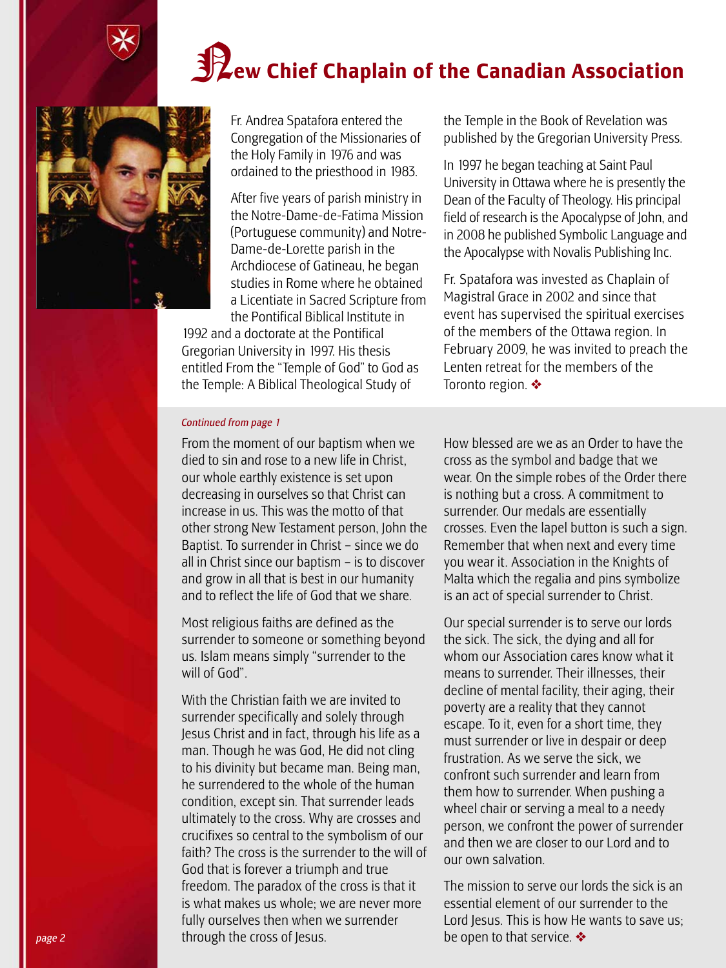# N**ew Chief Chaplain of the Canadian Association**



Fr. Andrea Spatafora entered the Congregation of the Missionaries of the Holy Family in 1976 and was ordained to the priesthood in 1983.

After five years of parish ministry in the Notre-Dame-de-Fatima Mission (Portuguese community) and Notre-Dame-de-Lorette parish in the Archdiocese of Gatineau, he began studies in Rome where he obtained a Licentiate in Sacred Scripture from the Pontifical Biblical Institute in

1992 and a doctorate at the Pontifical Gregorian University in 1997. His thesis entitled From the "Temple of God" to God as the Temple: A Biblical Theological Study of

the Temple in the Book of Revelation was published by the Gregorian University Press.

In 1997 he began teaching at Saint Paul University in Ottawa where he is presently the Dean of the Faculty of Theology. His principal field of research is the Apocalypse of John, and in 2008 he published Symbolic Language and the Apocalypse with Novalis Publishing Inc.

Fr. Spatafora was invested as Chaplain of Magistral Grace in 2002 and since that event has supervised the spiritual exercises of the members of the Ottawa region. In February 2009, he was invited to preach the Lenten retreat for the members of the Toronto region. ❖

#### *Continued from page 1*

From the moment of our baptism when we died to sin and rose to a new life in Christ, our whole earthly existence is set upon decreasing in ourselves so that Christ can increase in us. This was the motto of that other strong New Testament person, John the Baptist. To surrender in Christ – since we do all in Christ since our baptism – is to discover and grow in all that is best in our humanity and to reflect the life of God that we share.

Most religious faiths are defined as the surrender to someone or something beyond us. Islam means simply "surrender to the will of God".

With the Christian faith we are invited to surrender specifically and solely through Jesus Christ and in fact, through his life as a man. Though he was God, He did not cling to his divinity but became man. Being man, he surrendered to the whole of the human condition, except sin. That surrender leads ultimately to the cross. Why are crosses and crucifixes so central to the symbolism of our faith? The cross is the surrender to the will of God that is forever a triumph and true freedom. The paradox of the cross is that it is what makes us whole; we are never more fully ourselves then when we surrender through the cross of Jesus.

How blessed are we as an Order to have the cross as the symbol and badge that we wear. On the simple robes of the Order there is nothing but a cross. A commitment to surrender. Our medals are essentially crosses. Even the lapel button is such a sign. Remember that when next and every time you wear it. Association in the Knights of Malta which the regalia and pins symbolize is an act of special surrender to Christ.

Our special surrender is to serve our lords the sick. The sick, the dying and all for whom our Association cares know what it means to surrender. Their illnesses, their decline of mental facility, their aging, their poverty are a reality that they cannot escape. To it, even for a short time, they must surrender or live in despair or deep frustration. As we serve the sick, we confront such surrender and learn from them how to surrender. When pushing a wheel chair or serving a meal to a needy person, we confront the power of surrender and then we are closer to our Lord and to our own salvation.

The mission to serve our lords the sick is an essential element of our surrender to the Lord Jesus. This is how He wants to save us; be open to that service. ❖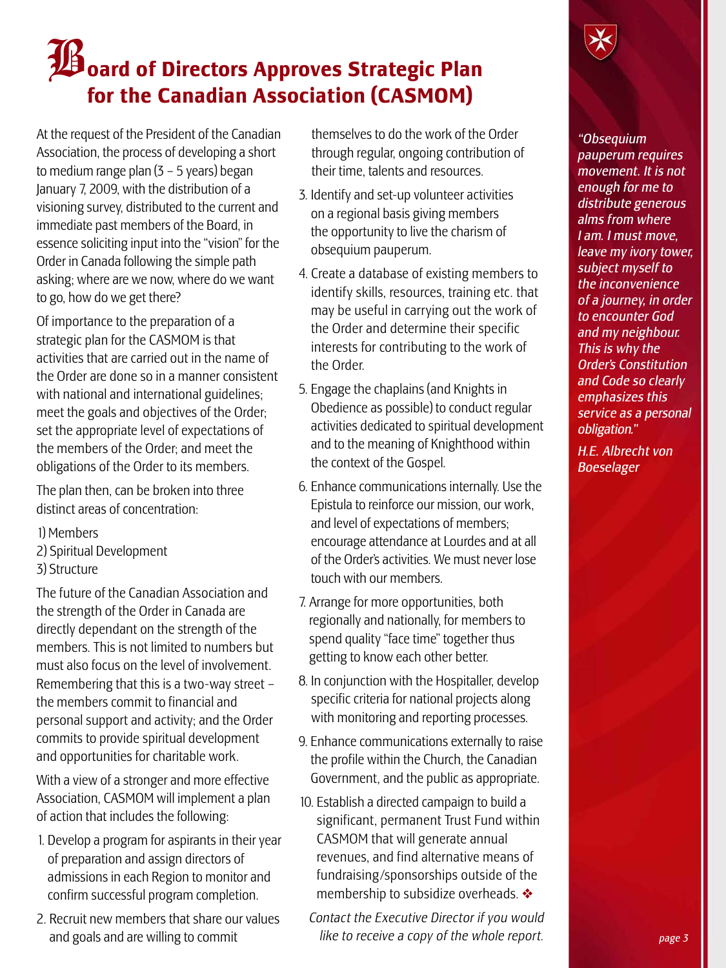# B**oard of Directors Approves Strategic Plan for the Canadian Association (CASMOM)**

At the request of the President of the Canadian Association, the process of developing a short to medium range plan (3 – 5 years) began January 7, 2009, with the distribution of a visioning survey, distributed to the current and immediate past members of the Board, in essence soliciting input into the "vision" for the Order in Canada following the simple path asking; where are we now, where do we want to go, how do we get there?

Of importance to the preparation of a strategic plan for the CASMOM is that activities that are carried out in the name of the Order are done so in a manner consistent with national and international guidelines; meet the goals and objectives of the Order; set the appropriate level of expectations of the members of the Order; and meet the obligations of the Order to its members.

The plan then, can be broken into three distinct areas of concentration:

- 1) Members
- 2) Spiritual Development
- 3) Structure

The future of the Canadian Association and the strength of the Order in Canada are directly dependant on the strength of the members. This is not limited to numbers but must also focus on the level of involvement. Remembering that this is a two-way street – the members commit to financial and personal support and activity; and the Order commits to provide spiritual development and opportunities for charitable work.

With a view of a stronger and more effective Association, CASMOM will implement a plan of action that includes the following:

- 1. Develop a program for aspirants in their year of preparation and assign directors of admissions in each Region to monitor and confirm successful program completion.
- 2. Recruit new members that share our values and goals and are willing to commit

themselves to do the work of the Order through regular, ongoing contribution of their time, talents and resources.

- 3. Identify and set-up volunteer activities on a regional basis giving members the opportunity to live the charism of obsequium pauperum.
- 4. Create a database of existing members to identify skills, resources, training etc. that may be useful in carrying out the work of the Order and determine their specific interests for contributing to the work of the Order.
- 5. Engage the chaplains (and Knights in Obedience as possible) to conduct regular activities dedicated to spiritual development and to the meaning of Knighthood within the context of the Gospel.
- 6. Enhance communications internally. Use the Epistula to reinforce our mission, our work, and level of expectations of members; encourage attendance at Lourdes and at all of the Order's activities. We must never lose touchwith our members.
- 7. Arrange for more opportunities, both regionally and nationally, for members to spend quality "face time" together thus getting to know each other better.
- 8. In conjunction with the Hospitaller, develop specific criteria for national projects along with monitoring and reporting processes.
- 9. Enhance communications externally to raise the profile within the Church, the Canadian Government, and the public as appropriate.
- 10. Establish a directed campaign to build a significant, permanent Trust Fund within CASMOM that will generate annual revenues, and find alternative means of fundraising/sponsorships outside of the membership to subsidize overheads. ❖
	- *Contact the Executive Director if you would like to receive a copy of the whole report.*

*"Obsequium pauperum requires movement. It is not enough for me to distribute generous alms from where I am. I must move, leave my ivory tower, subject myself to the inconvenience of a journey, in order to encounter God and my neighbour. This is why the Order's Constitution and Code so clearly emphasizes this service as a personal obligation."*

*H.E. Albrecht von Boeselager*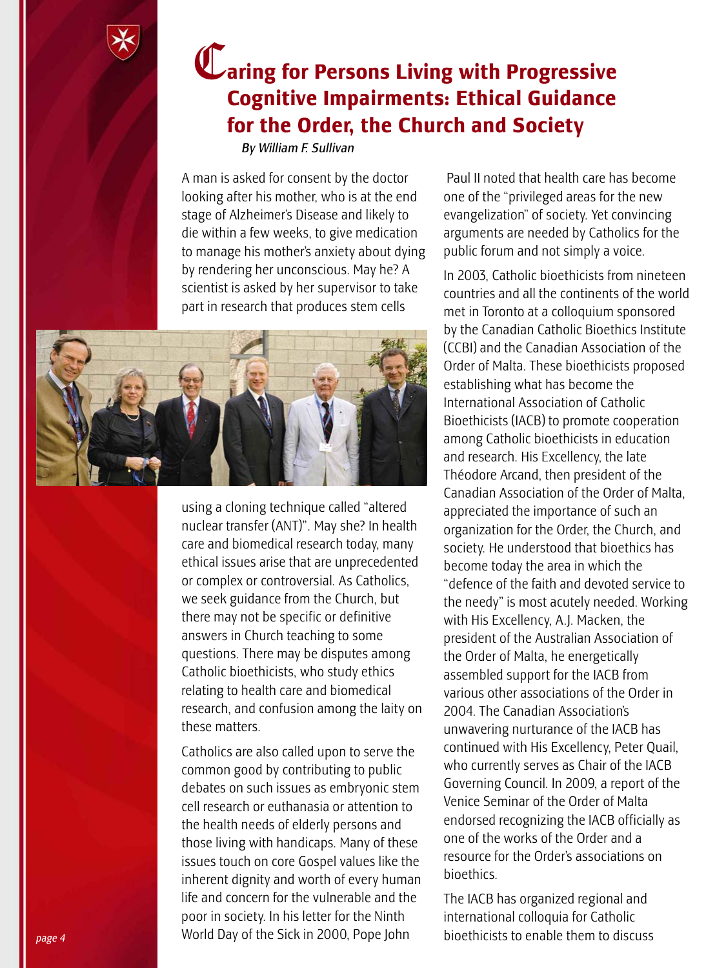

## C**aring for Persons Living with Progressive Cognitive Impairments: Ethical Guidance for the Order, the Church and Society**

*By William F. Sullivan*

A man is asked for consent by the doctor looking after his mother, who is at the end stage of Alzheimer's Disease and likely to die within a few weeks, to give medication to manage his mother's anxiety about dying by rendering her unconscious. May he? A scientist is asked by her supervisor to take part in research that produces stem cells



using a cloning technique called "altered nuclear transfer (ANT)". May she? In health care and biomedical research today, many ethical issues arise that are unprecedented or complex or controversial. As Catholics, we seek guidance from the Church, but there may not be specific or definitive answers in Church teaching to some questions. There may be disputes among Catholic bioethicists, who study ethics relating to health care and biomedical research, and confusion among the laity on these matters.

Catholics are also called upon to serve the common good by contributing to public debates on such issues as embryonic stem cell research or euthanasia or attention to the health needs of elderly persons and those living with handicaps. Many of these issues touch on core Gospel values like the inherent dignity and worth of every human life and concern for the vulnerable and the poor in society. In his letter for the Ninth World Day of the Sick in 2000, Pope John

Paul II noted that health care has become one of the "privileged areas for the new evangelization" of society. Yet convincing arguments are needed by Catholics for the public forum and not simply a voice.

In 2003, Catholic bioethicists from nineteen countries and all the continents of the world met in Toronto at a colloquium sponsored by the Canadian Catholic Bioethics Institute (CCBI) and the Canadian Association of the Order of Malta. These bioethicists proposed establishing what has become the International Association of Catholic Bioethicists (IACB) to promote cooperation among Catholic bioethicists in education and research. His Excellency, the late Théodore Arcand, then president of the Canadian Association of the Order of Malta, appreciated the importance of such an organization for the Order, the Church, and society. He understood that bioethics has become today the area in which the "defence of the faith and devoted service to the needy" is most acutely needed. Working with His Excellency, A.J. Macken, the president of the Australian Association of the Order of Malta, he energetically assembled support for the IACB from various other associations of the Order in 2004. The Canadian Association's unwavering nurturance of the IACB has continued with His Excellency, Peter Quail, who currently serves as Chair of the IACB Governing Council. In 2009, a report of the Venice Seminar of the Order of Malta endorsed recognizing the IACB officially as one of the works of the Order and a resource for the Order's associations on bioethics.

The IACB has organized regional and international colloquia for Catholic bioethicists to enable them to discuss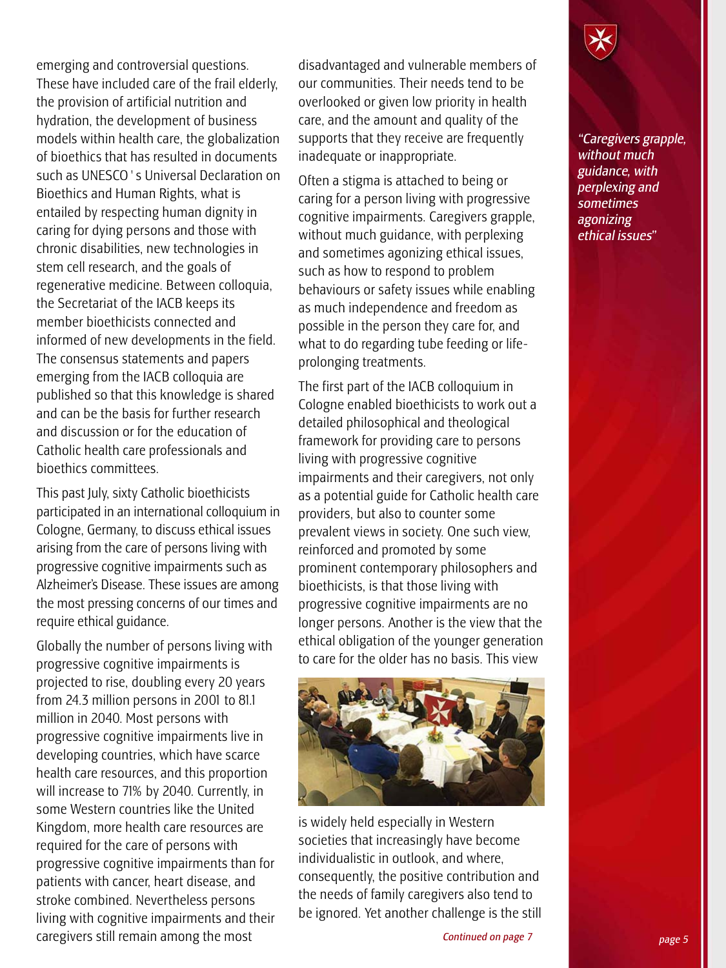emerging and controversial questions. These have included care of the frail elderly, the provision of artificial nutrition and hydration, the development of business models within health care, the globalization of bioethics that has resulted in documents such as UNESCO's Universal Declaration on Bioethics and Human Rights, what is entailed by respecting human dignity in caring for dying persons and those with chronic disabilities, new technologies in stem cell research, and the goals of regenerative medicine. Between colloquia, the Secretariat of the IACB keeps its member bioethicists connected and informed of new developments in the field. The consensus statements and papers emerging from the IACB colloquia are published so that this knowledge is shared and can be the basis for further research and discussion or for the education of Catholic health care professionals and bioethics committees.

This past July, sixty Catholic bioethicists participated in an international colloquium in Cologne, Germany, to discuss ethical issues arising from the care of persons living with progressive cognitive impairments such as Alzheimer's Disease. These issues are among the most pressing concerns of our times and require ethical guidance.

Globally the number of persons living with progressive cognitive impairments is projected to rise, doubling every 20 years from 24.3 million persons in 2001 to 81.1 million in 2040. Most persons with progressive cognitive impairments live in developing countries, which have scarce health care resources, and this proportion will increase to 71% by 2040. Currently, in some Western countries like the United Kingdom, more health care resources are required for the care of persons with progressive cognitive impairments than for patients with cancer, heart disease, and stroke combined. Nevertheless persons living with cognitive impairments and their caregivers still remain among the most

disadvantaged and vulnerable members of our communities. Their needs tend to be overlooked or given low priority in health care, and the amount and quality of the supports that they receive are frequently inadequate or inappropriate.

Often a stigma is attached to being or caring for a person living with progressive cognitive impairments. Caregivers grapple, without much guidance, with perplexing and sometimes agonizing ethical issues, such as how to respond to problem behaviours or safety issues while enabling as much independence and freedom as possible in the person they care for, and what to do regarding tube feeding or lifeprolonging treatments.

The first part of the IACB colloquium in Cologne enabled bioethicists to work out a detailed philosophical and theological framework for providing care to persons living with progressive cognitive impairments and their caregivers, not only as a potential guide for Catholic health care providers, but also to counter some prevalent views in society. One such view, reinforced and promoted by some prominent contemporary philosophers and bioethicists, is that those living with progressive cognitive impairments are no longer persons. Another is the view that the ethical obligation of the younger generation to care for the older has no basis. This view



is widely held especially in Western societies that increasingly have become individualistic in outlook, and where, consequently, the positive contribution and the needs of family caregivers also tend to be ignored. Yet another challenge is the still

*"Caregivers grapple, without much guidance, with perplexing and sometimes agonizing ethical issues"*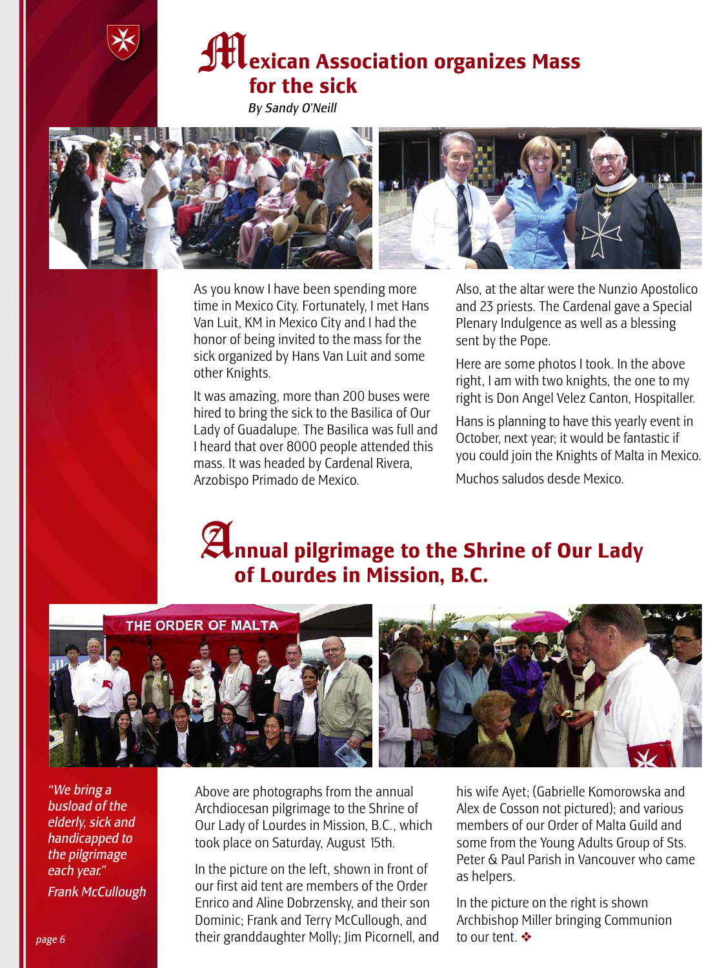

*By Sandy O'Neill*



As you know I have been spending more time in Mexico City. Fortunately, I met Hans Van Luit, KM in Mexico City and I had the honor of being invited to the mass for the sick organized by Hans Van Luit and some other Knights.

It was amazing, more than 200 buses were hired to bring the sick to the Basilica of Our Lady of Guadalupe. The Basilica was full and I heard that over 8000 people attended this mass. It was headed by Cardenal Rivera, Arzobispo Primado de Mexico.

Also, at the altar were the Nunzio Apostolico and 23 priests. The Cardenal gave a Special Plenary Indulgence as well as a blessing sent by the Pope.

Here are some photos I took. In the above right, I am with two knights, the one to my right is Don Angel Velez Canton, Hospitaller.

Hans is planning to have this yearly event in October, next year; it would be fantastic if you could join the Knights of Malta in Mexico.

Muchos saludos desde Mexico.

# A**nnual pilgrimage to the Shrine of Our Lady of Lourdes in Mission, B.C.**



*"We bring a busload of the elderly, sick and handicapped to the pilgrimage each year." Frank McCullough*

Above are photographs from the annual Archdiocesan pilgrimage to the Shrine of Our Lady of Lourdes in Mission, B.C., which took place on Saturday, August 15th.

In the picture on the left, shown in front of our first aid tent are members of the Order Enrico and Aline Dobrzensky, and their son Dominic; Frank and Terry McCullough, and their granddaughter Molly; Jim Picornell, and his wife Ayet; (Gabrielle Komorowska and Alex de Cosson not pictured); and various members of our Order of Malta Guild and some from the Young Adults Group of Sts. Peter & Paul Parish in Vancouver who came as helpers.

In the picture on the right is shown Archbishop Miller bringing Communion to our tent. ❖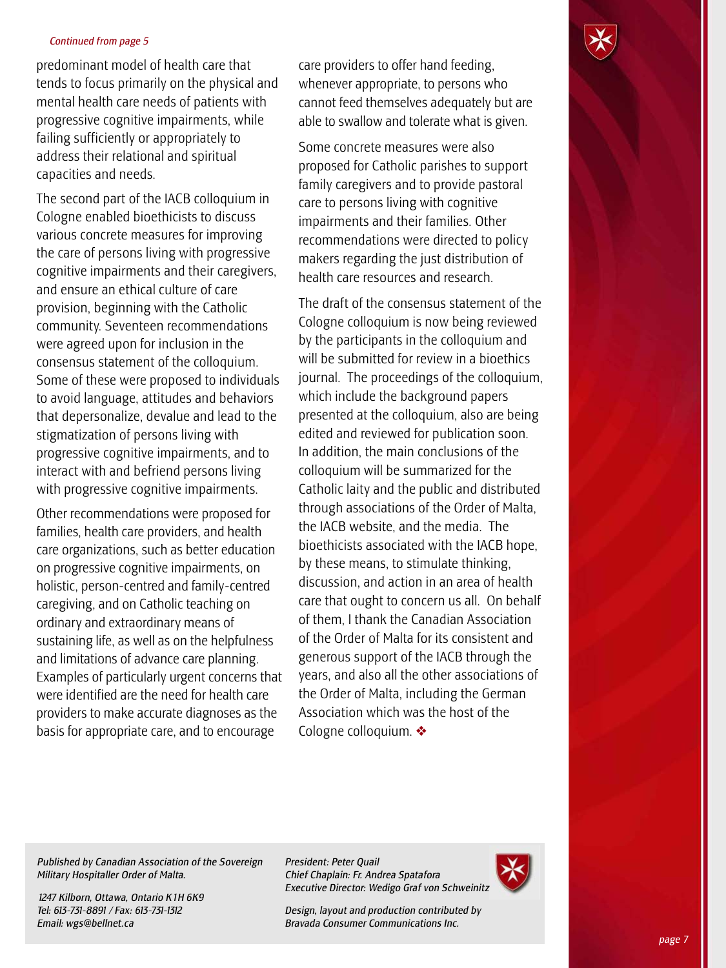#### *Continued from page 5*

predominant model of health care that tends to focus primarily on the physical and mental health care needs of patients with progressive cognitive impairments, while failing sufficiently or appropriately to address their relational and spiritual capacities and needs.

The second part of the IACB colloquium in Cologne enabled bioethicists to discuss various concrete measures for improving the care of persons living with progressive cognitive impairments and their caregivers, and ensure an ethical culture of care provision, beginning with the Catholic community. Seventeen recommendations were agreed upon for inclusion in the consensus statement of the colloquium. Some of these were proposed to individuals to avoid language, attitudes and behaviors that depersonalize, devalue and lead to the stigmatization of persons living with progressive cognitive impairments, and to interact with and befriend persons living with progressive cognitive impairments.

Other recommendations were proposed for families, health care providers, and health care organizations, such as better education on progressive cognitive impairments, on holistic, person-centred and family-centred caregiving, and on Catholic teaching on ordinary and extraordinary means of sustaining life, as well as on the helpfulness and limitations of advance care planning. Examples of particularly urgent concerns that were identified are the need for health care providers to make accurate diagnoses as the basis for appropriate care, and to encourage

care providers to offer hand feeding, whenever appropriate, to persons who cannot feed themselves adequately but are able to swallow and tolerate what is given.

Some concrete measures were also proposed for Catholic parishes to support family caregivers and to provide pastoral care to persons living with cognitive impairments and their families. Other recommendations were directed to policy makers regarding the just distribution of health care resources and research.

The draft of the consensus statement of the Cologne colloquium is now being reviewed by the participants in the colloquium and will be submitted for review in a bioethics journal. The proceedings of the colloquium, which include the background papers presented at the colloquium, also are being edited and reviewed for publication soon. In addition, the main conclusions of the colloquium will be summarized for the Catholic laity and the public and distributed through associations of the Order of Malta, the IACB website, and the media. The bioethicists associated with the IACB hope, by these means, to stimulate thinking, discussion, and action in an area of health care that ought to concern us all. On behalf of them, I thank the Canadian Association of the Order of Malta for its consistent and generous support of the IACB through the years, and also all the other associations of the Order of Malta, including the German Association which was the host of the Cologne colloquium. ❖

*Published by Canadian Association of the Sovereign Military Hospitaller Order of Malta.*

*1247 Kilborn, Ottawa, Ontario K1H 6K9 Tel: 613-731-8891 / Fax: 613-731-1312 Email: wgs@bellnet.ca*

*President: Peter Quail Chief Chaplain: Fr. Andrea Spatafora Executive Director: Wedigo Graf von Schweinitz*